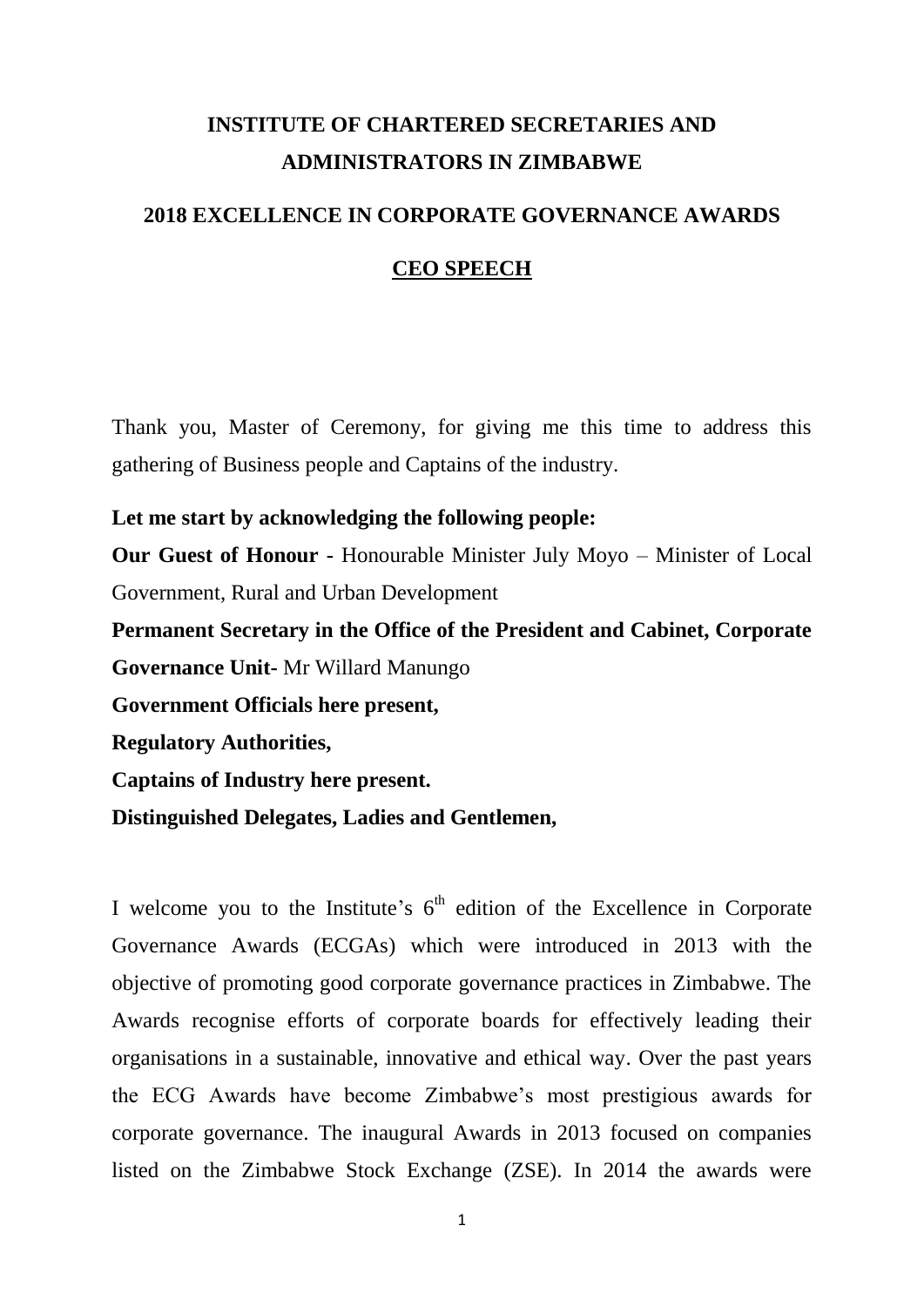# **INSTITUTE OF CHARTERED SECRETARIES AND ADMINISTRATORS IN ZIMBABWE**

# **2018 EXCELLENCE IN CORPORATE GOVERNANCE AWARDS**

#### **CEO SPEECH**

Thank you, Master of Ceremony, for giving me this time to address this gathering of Business people and Captains of the industry.

#### **Let me start by acknowledging the following people:**

**Our Guest of Honour -** Honourable Minister July Moyo – Minister of Local Government, Rural and Urban Development

**Permanent Secretary in the Office of the President and Cabinet, Corporate Governance Unit-** Mr Willard Manungo **Government Officials here present,**

**Regulatory Authorities,**

**Captains of Industry here present.**

**Distinguished Delegates, Ladies and Gentlemen,** 

I welcome you to the Institute's  $6<sup>th</sup>$  edition of the Excellence in Corporate Governance Awards (ECGAs) which were introduced in 2013 with the objective of promoting good corporate governance practices in Zimbabwe. The Awards recognise efforts of corporate boards for effectively leading their organisations in a sustainable, innovative and ethical way. Over the past years the ECG Awards have become Zimbabwe's most prestigious awards for corporate governance. The inaugural Awards in 2013 focused on companies listed on the Zimbabwe Stock Exchange (ZSE). In 2014 the awards were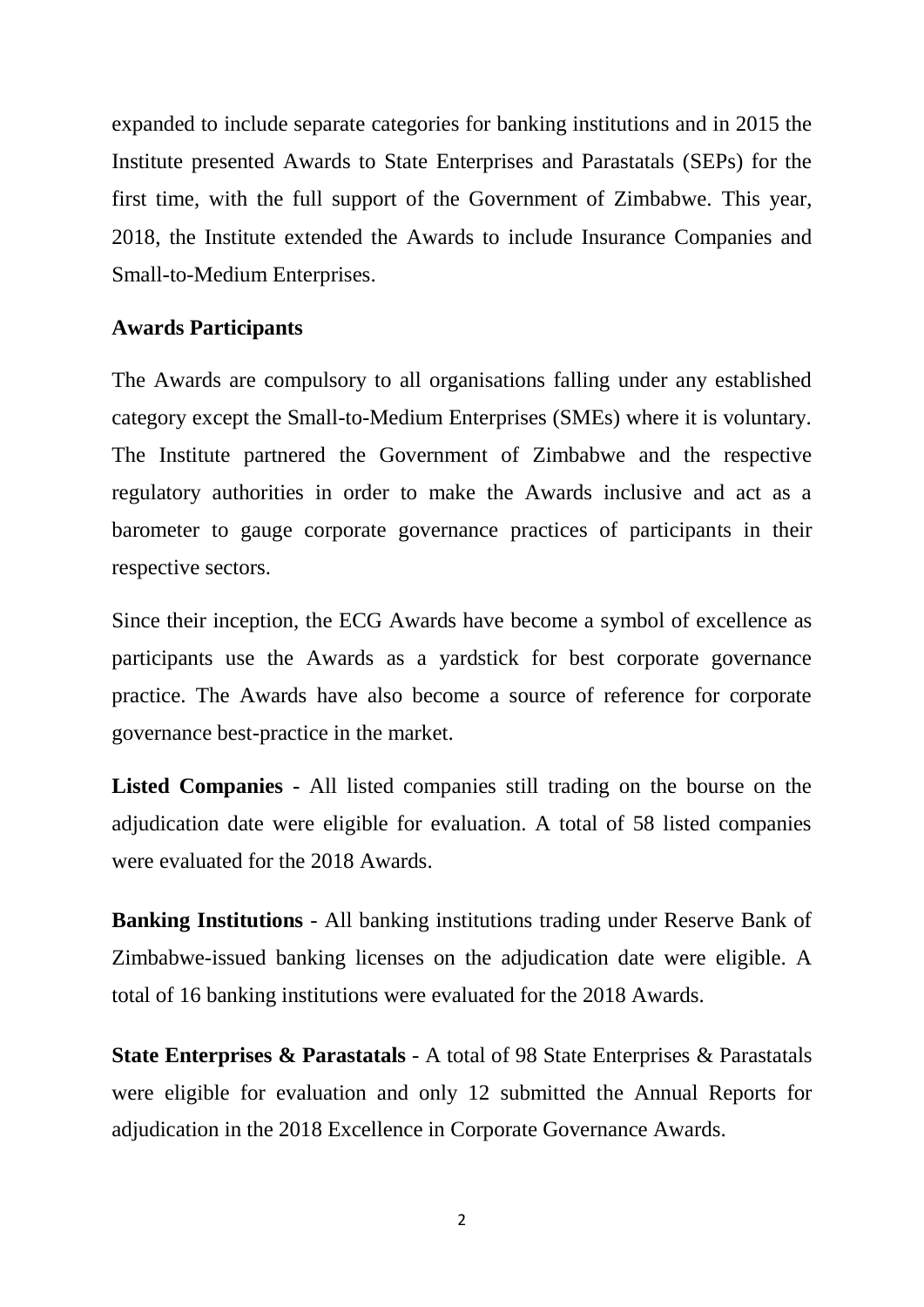expanded to include separate categories for banking institutions and in 2015 the Institute presented Awards to State Enterprises and Parastatals (SEPs) for the first time, with the full support of the Government of Zimbabwe. This year, 2018, the Institute extended the Awards to include Insurance Companies and Small-to-Medium Enterprises.

#### **Awards Participants**

The Awards are compulsory to all organisations falling under any established category except the Small-to-Medium Enterprises (SMEs) where it is voluntary. The Institute partnered the Government of Zimbabwe and the respective regulatory authorities in order to make the Awards inclusive and act as a barometer to gauge corporate governance practices of participants in their respective sectors.

Since their inception, the ECG Awards have become a symbol of excellence as participants use the Awards as a yardstick for best corporate governance practice. The Awards have also become a source of reference for corporate governance best-practice in the market.

**Listed Companies -** All listed companies still trading on the bourse on the adjudication date were eligible for evaluation. A total of 58 listed companies were evaluated for the 2018 Awards.

**Banking Institutions** - All banking institutions trading under Reserve Bank of Zimbabwe-issued banking licenses on the adjudication date were eligible. A total of 16 banking institutions were evaluated for the 2018 Awards.

**State Enterprises & Parastatals** - A total of 98 State Enterprises & Parastatals were eligible for evaluation and only 12 submitted the Annual Reports for adjudication in the 2018 Excellence in Corporate Governance Awards.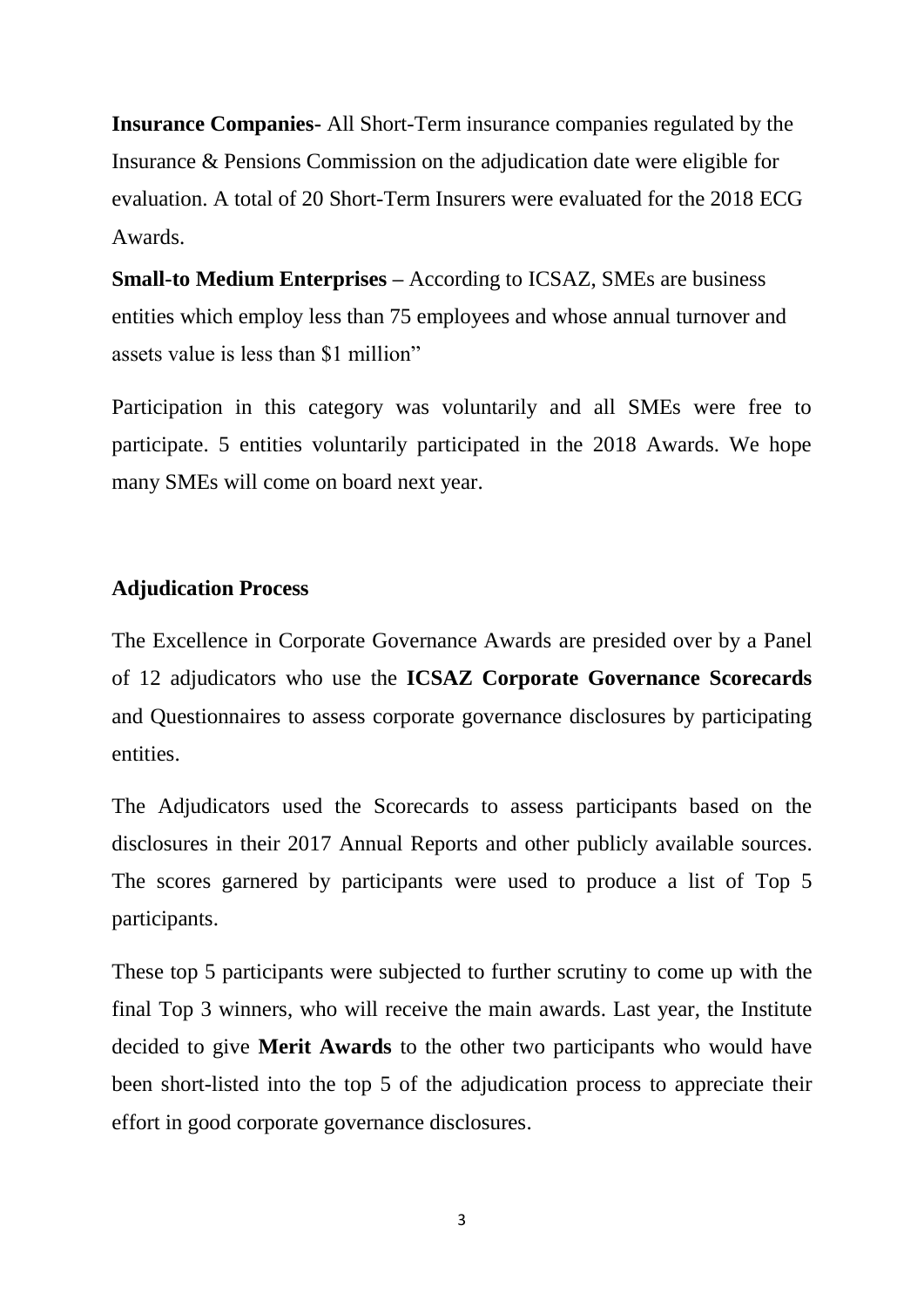**Insurance Companies-** All Short-Term insurance companies regulated by the Insurance & Pensions Commission on the adjudication date were eligible for evaluation. A total of 20 Short-Term Insurers were evaluated for the 2018 ECG Awards.

**Small-to Medium Enterprises –** According to ICSAZ, SMEs are business entities which employ less than 75 employees and whose annual turnover and assets value is less than \$1 million"

Participation in this category was voluntarily and all SMEs were free to participate. 5 entities voluntarily participated in the 2018 Awards. We hope many SMEs will come on board next year.

#### **Adjudication Process**

The Excellence in Corporate Governance Awards are presided over by a Panel of 12 adjudicators who use the **ICSAZ Corporate Governance Scorecards** and Questionnaires to assess corporate governance disclosures by participating entities.

The Adjudicators used the Scorecards to assess participants based on the disclosures in their 2017 Annual Reports and other publicly available sources. The scores garnered by participants were used to produce a list of Top 5 participants.

These top 5 participants were subjected to further scrutiny to come up with the final Top 3 winners, who will receive the main awards. Last year, the Institute decided to give **Merit Awards** to the other two participants who would have been short-listed into the top 5 of the adjudication process to appreciate their effort in good corporate governance disclosures.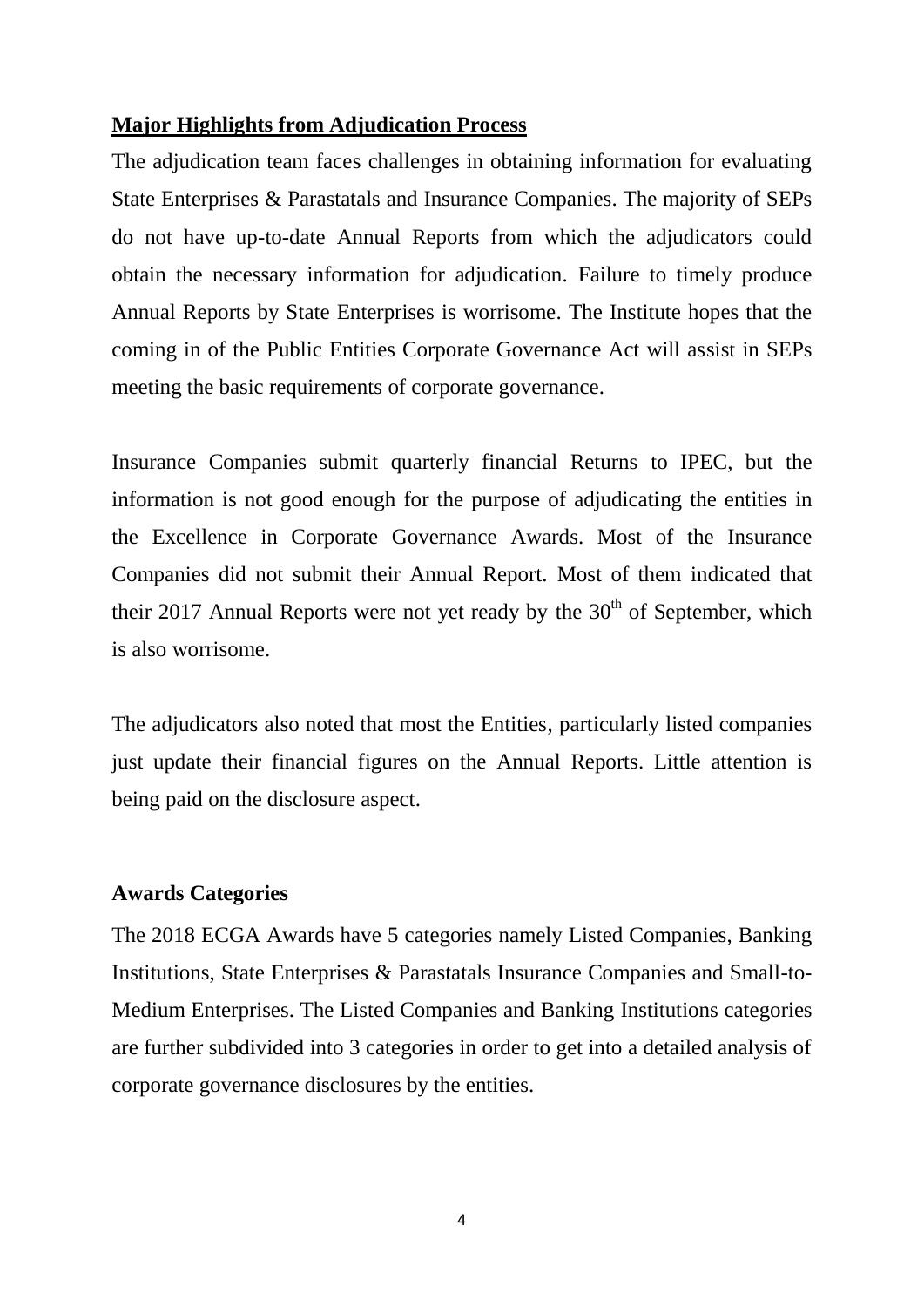## **Major Highlights from Adjudication Process**

The adjudication team faces challenges in obtaining information for evaluating State Enterprises & Parastatals and Insurance Companies. The majority of SEPs do not have up-to-date Annual Reports from which the adjudicators could obtain the necessary information for adjudication. Failure to timely produce Annual Reports by State Enterprises is worrisome. The Institute hopes that the coming in of the Public Entities Corporate Governance Act will assist in SEPs meeting the basic requirements of corporate governance.

Insurance Companies submit quarterly financial Returns to IPEC, but the information is not good enough for the purpose of adjudicating the entities in the Excellence in Corporate Governance Awards. Most of the Insurance Companies did not submit their Annual Report. Most of them indicated that their 2017 Annual Reports were not yet ready by the  $30<sup>th</sup>$  of September, which is also worrisome.

The adjudicators also noted that most the Entities, particularly listed companies just update their financial figures on the Annual Reports. Little attention is being paid on the disclosure aspect.

### **Awards Categories**

The 2018 ECGA Awards have 5 categories namely Listed Companies, Banking Institutions, State Enterprises & Parastatals Insurance Companies and Small-to-Medium Enterprises. The Listed Companies and Banking Institutions categories are further subdivided into 3 categories in order to get into a detailed analysis of corporate governance disclosures by the entities.